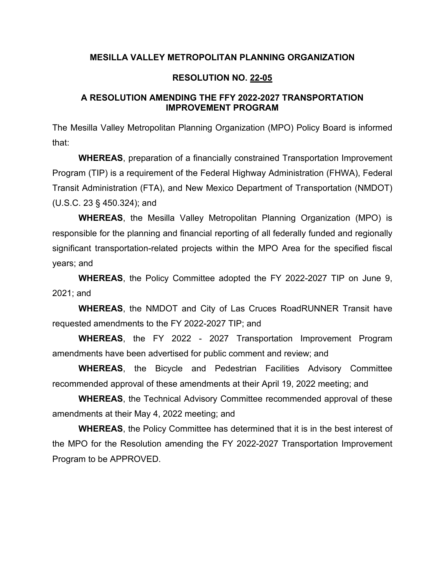## **MESILLA VALLEY METROPOLITAN PLANNING ORGANIZATION**

### **RESOLUTION NO. 22-05**

### **A RESOLUTION AMENDING THE FFY 2022-2027 TRANSPORTATION IMPROVEMENT PROGRAM**

The Mesilla Valley Metropolitan Planning Organization (MPO) Policy Board is informed that:

**WHEREAS**, preparation of a financially constrained Transportation Improvement Program (TIP) is a requirement of the Federal Highway Administration (FHWA), Federal Transit Administration (FTA), and New Mexico Department of Transportation (NMDOT) (U.S.C. 23 § 450.324); and

**WHEREAS**, the Mesilla Valley Metropolitan Planning Organization (MPO) is responsible for the planning and financial reporting of all federally funded and regionally significant transportation-related projects within the MPO Area for the specified fiscal years; and

**WHEREAS**, the Policy Committee adopted the FY 2022-2027 TIP on June 9, 2021; and

**WHEREAS**, the NMDOT and City of Las Cruces RoadRUNNER Transit have requested amendments to the FY 2022-2027 TIP; and

**WHEREAS**, the FY 2022 - 2027 Transportation Improvement Program amendments have been advertised for public comment and review; and

**WHEREAS**, the Bicycle and Pedestrian Facilities Advisory Committee recommended approval of these amendments at their April 19, 2022 meeting; and

**WHEREAS**, the Technical Advisory Committee recommended approval of these amendments at their May 4, 2022 meeting; and

**WHEREAS**, the Policy Committee has determined that it is in the best interest of the MPO for the Resolution amending the FY 2022-2027 Transportation Improvement Program to be APPROVED.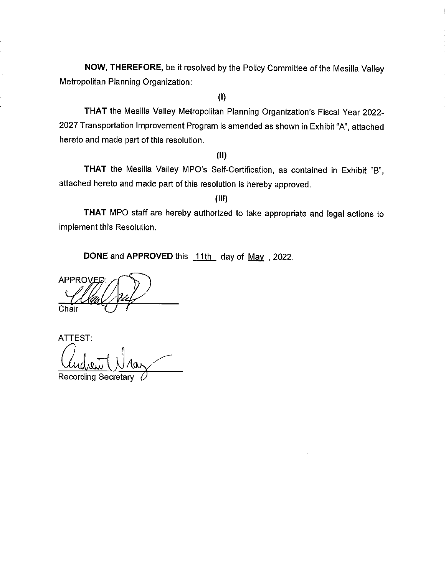NOW, THEREFORE, be it resolved by the Policy Committee of the Mesilla Valley Metropolitan Planning Organization:

j

 $(1)$ 

THAT the Mesilla Valley Metropolitan Planning Organization's Fiscal Year 2022-2027 Transportation Improvement Program is amended as shown in Exhibit "A", attached hereto and made part of this resolution.

 $(II)$ 

THAT the Mesilla Valley MPO's Self-Certification, as contained in Exhibit "B", attached hereto and made part of this resolution is hereby approved.

 $(III)$ 

THAT MPO staff are hereby authorized to take appropriate and legal actions to implement this Resolution.

DONE and APPROVED this 11th day of May, 2022.

**APPROVED** Chair

**ATTEST:** 

**Recording Secretary**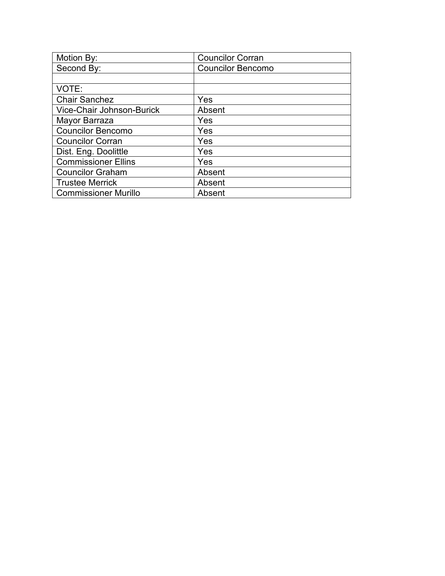| Motion By:                  | <b>Councilor Corran</b>  |
|-----------------------------|--------------------------|
| Second By:                  | <b>Councilor Bencomo</b> |
|                             |                          |
| VOTE:                       |                          |
| <b>Chair Sanchez</b>        | Yes                      |
| Vice-Chair Johnson-Burick   | Absent                   |
| Mayor Barraza               | Yes                      |
| <b>Councilor Bencomo</b>    | Yes                      |
| <b>Councilor Corran</b>     | Yes                      |
| Dist. Eng. Doolittle        | Yes                      |
| <b>Commissioner Ellins</b>  | Yes                      |
| <b>Councilor Graham</b>     | Absent                   |
| <b>Trustee Merrick</b>      | Absent                   |
| <b>Commissioner Murillo</b> | Absent                   |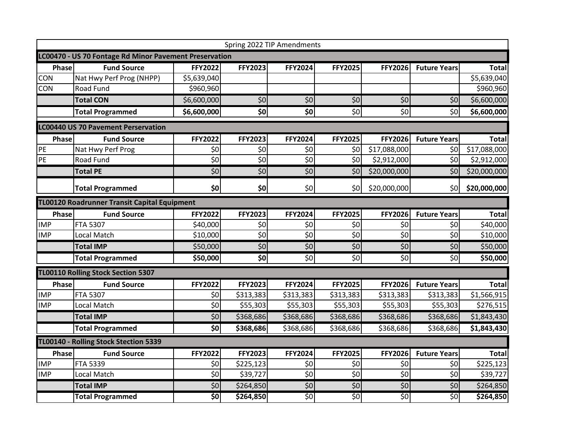| Spring 2022 TIP Amendments                             |                                            |                    |                            |                            |                 |                |                     |              |
|--------------------------------------------------------|--------------------------------------------|--------------------|----------------------------|----------------------------|-----------------|----------------|---------------------|--------------|
| LC00470 - US 70 Fontage Rd Minor Pavement Preservation |                                            |                    |                            |                            |                 |                |                     |              |
| Phase                                                  | <b>Fund Source</b>                         | <b>FFY2022</b>     | <b>FFY2023</b>             | <b>FFY2024</b>             | <b>FFY2025</b>  | <b>FFY2026</b> | <b>Future Years</b> | <b>Total</b> |
| CON                                                    | Nat Hwy Perf Prog (NHPP)                   | \$5,639,040        |                            |                            |                 |                |                     | \$5,639,040  |
| CON                                                    | <b>Road Fund</b>                           | \$960,960          |                            |                            |                 |                |                     | \$960,960    |
|                                                        | <b>Total CON</b>                           | \$6,600,000        | $\overline{\overline{50}}$ | $\overline{\overline{50}}$ | \$0             | \$0            | \$0                 | \$6,600,000  |
|                                                        | <b>Total Programmed</b>                    | \$6,600,000        | \$0                        | $\overline{\textbf{S}}$    | \$0             | \$0            | \$0                 | \$6,600,000  |
|                                                        | <b>LC00440 US 70 Pavement Perservation</b> |                    |                            |                            |                 |                |                     |              |
| Phase                                                  | <b>Fund Source</b>                         | <b>FFY2022</b>     | <b>FFY2023</b>             | FFY2024                    | <b>FFY2025</b>  | <b>FFY2026</b> | <b>Future Years</b> | <b>Total</b> |
| PE                                                     | Nat Hwy Perf Prog                          | \$0                | \$0                        | \$0                        | \$0             | \$17,088,000   | \$0                 | \$17,088,000 |
| PE                                                     | Road Fund                                  | $\overline{50}$    | $\overline{\overline{50}}$ | $\overline{\overline{50}}$ | \$0             | \$2,912,000    | \$0                 | \$2,912,000  |
|                                                        | <b>Total PE</b>                            | \$0                | $\overline{50}$            | $\overline{50}$            | \$0             | \$20,000,000   | \$0                 | \$20,000,000 |
|                                                        | <b>Total Programmed</b>                    | \$0                | \$0                        | \$0                        | \$0             | \$20,000,000   | \$0                 | \$20,000,000 |
| TL00120 Roadrunner Transit Capital Equipment           |                                            |                    |                            |                            |                 |                |                     |              |
| Phase                                                  | <b>Fund Source</b>                         | <b>FFY2022</b>     | <b>FFY2023</b>             | FFY2024                    | <b>FFY2025</b>  | <b>FFY2026</b> | <b>Future Years</b> | <b>Total</b> |
| <b>IMP</b>                                             | <b>FTA 5307</b>                            | \$40,000           | \$0                        | \$0                        | \$0             | \$0            | \$0                 | \$40,000     |
| <b>IMP</b>                                             | Local Match                                | \$10,000           | $\overline{\overline{50}}$ | $\overline{\xi_0}$         | $\overline{50}$ | \$0            | \$0                 | \$10,000     |
|                                                        | <b>Total IMP</b>                           | \$50,000           | $\overline{\xi_0}$         | \$0                        | \$0             | \$0            | \$0                 | \$50,000     |
|                                                        | <b>Total Programmed</b>                    | \$50,000           | \$0                        | \$0                        | \$0             | \$0            | \$0                 | \$50,000     |
|                                                        | TL00110 Rolling Stock Section 5307         |                    |                            |                            |                 |                |                     |              |
| Phase                                                  | <b>Fund Source</b>                         | <b>FFY2022</b>     | FFY2023                    | FFY2024                    | <b>FFY2025</b>  | FFY2026        | <b>Future Years</b> | <b>Total</b> |
| <b>IMP</b>                                             | <b>FTA 5307</b>                            | \$0                | \$313,383                  | \$313,383                  | \$313,383       | \$313,383      | \$313,383           | \$1,566,915  |
| <b>IMP</b>                                             | Local Match                                | $\overline{\xi_0}$ | \$55,303                   | \$55,303                   | \$55,303        | \$55,303       | \$55,303            | \$276,515    |
|                                                        | <b>Total IMP</b>                           | \$0                | \$368,686                  | \$368,686                  | \$368,686       | \$368,686      | \$368,686           | \$1,843,430  |
|                                                        | <b>Total Programmed</b>                    | \$0                | \$368,686                  | \$368,686                  | \$368,686       | \$368,686      | \$368,686           | \$1,843,430  |
| TL00140 - Rolling Stock Stection 5339                  |                                            |                    |                            |                            |                 |                |                     |              |
| Phase                                                  | <b>Fund Source</b>                         | <b>FFY2022</b>     | FFY2023                    | FFY2024                    | <b>FFY2025</b>  | <b>FFY2026</b> | <b>Future Years</b> | <b>Total</b> |
| <b>IMP</b>                                             | <b>FTA 5339</b>                            | \$0                | \$225,123                  | \$0                        | \$0             | \$0            | \$0                 | \$225,123    |
| <b>IMP</b>                                             | Local Match                                | \$0                | \$39,727                   | $\overline{\xi_0}$         | \$0             | \$0            | \$0                 | \$39,727     |
|                                                        | <b>Total IMP</b>                           | \$0                | \$264,850                  | \$0                        | \$0             | \$0            | \$0                 | \$264,850    |
|                                                        | <b>Total Programmed</b>                    | \$0                | \$264,850                  | \$0                        | $\overline{50}$ | \$0            | \$0                 | \$264,850    |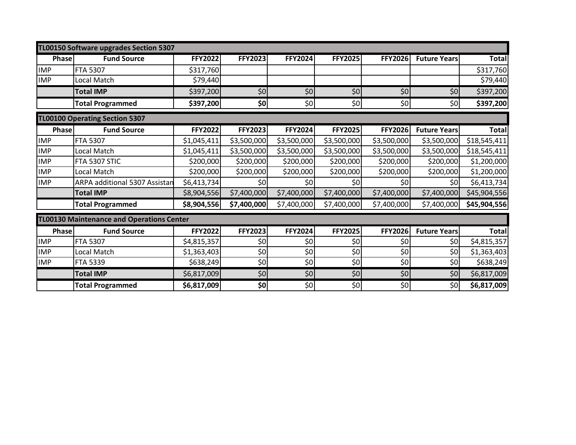| TL00150 Software upgrades Section 5307           |                               |                |                |                |                 |                |                     |              |
|--------------------------------------------------|-------------------------------|----------------|----------------|----------------|-----------------|----------------|---------------------|--------------|
| <b>Phase</b>                                     | <b>Fund Source</b>            | <b>FFY2022</b> | <b>FFY2023</b> | <b>FFY2024</b> | <b>FFY2025</b>  | <b>FFY2026</b> | <b>Future Years</b> | <b>Total</b> |
| <b>IMP</b>                                       | <b>FTA 5307</b>               | \$317,760      |                |                |                 |                |                     | \$317,760    |
| <b>IMP</b>                                       | Local Match                   | \$79,440       |                |                |                 |                |                     | \$79,440     |
|                                                  | <b>Total IMP</b>              | \$397,200      | \$0            | \$0            | \$0             | \$0            | \$0                 | \$397,200    |
|                                                  | <b>Total Programmed</b>       | \$397,200      | \$0            | \$0            | \$0             | \$0            | \$0                 | \$397,200    |
| <b>TL00100 Operating Section 5307</b>            |                               |                |                |                |                 |                |                     |              |
| <b>Phase</b>                                     | <b>Fund Source</b>            | FFY2022        | <b>FFY2023</b> | <b>FFY2024</b> | <b>FFY2025</b>  | <b>FFY2026</b> | <b>Future Years</b> | <b>Total</b> |
| <b>IMP</b>                                       | <b>FTA 5307</b>               | \$1,045,411    | \$3,500,000    | \$3,500,000    | \$3,500,000     | \$3,500,000    | \$3,500,000         | \$18,545,411 |
| <b>IMP</b>                                       | Local Match                   | \$1,045,411    | \$3,500,000    | \$3,500,000    | \$3,500,000     | \$3,500,000    | \$3,500,000         | \$18,545,411 |
| <b>IMP</b>                                       | FTA 5307 STIC                 | \$200,000      | \$200,000      | \$200,000      | \$200,000       | \$200,000      | \$200,000           | \$1,200,000  |
| <b>IMP</b>                                       | Local Match                   | \$200,000      | \$200,000      | \$200,000      | \$200,000       | \$200,000      | \$200,000           | \$1,200,000  |
| <b>IMP</b>                                       | ARPA additional 5307 Assistan | \$6,413,734    | \$0            | \$0            | 50 <sub>0</sub> | \$0            | \$0                 | \$6,413,734  |
|                                                  | <b>Total IMP</b>              | \$8,904,556    | \$7,400,000    | \$7,400,000    | \$7,400,000     | \$7,400,000    | \$7,400,000         | \$45,904,556 |
|                                                  | <b>Total Programmed</b>       | \$8,904,556    | \$7,400,000    | \$7,400,000    | \$7,400,000     | \$7,400,000    | \$7,400,000         | \$45,904,556 |
| <b>TL00130 Maintenance and Operations Center</b> |                               |                |                |                |                 |                |                     |              |
| <b>Phase</b>                                     | <b>Fund Source</b>            | <b>FFY2022</b> | <b>FFY2023</b> | <b>FFY2024</b> | <b>FFY2025</b>  | <b>FFY2026</b> | <b>Future Years</b> | <b>Total</b> |
| <b>IMP</b>                                       | <b>FTA 5307</b>               | \$4,815,357    | \$0            | \$0            | \$0             | \$0            | \$0                 | \$4,815,357  |
| <b>IMP</b>                                       | Local Match                   | \$1,363,403    | \$0            | \$0            | \$0             | \$0            | \$0                 | \$1,363,403  |
| <b>IMP</b>                                       | FTA 5339                      | \$638,249      | \$0            | \$0            | \$0             | \$0            | \$0                 | \$638,249    |
|                                                  | <b>Total IMP</b>              | \$6,817,009    | \$0            | \$0            | \$0]            | \$0            | \$0]                | \$6,817,009  |
|                                                  | <b>Total Programmed</b>       | \$6,817,009    | \$0            | \$0            | \$0             | \$0            | \$0                 | \$6,817,009  |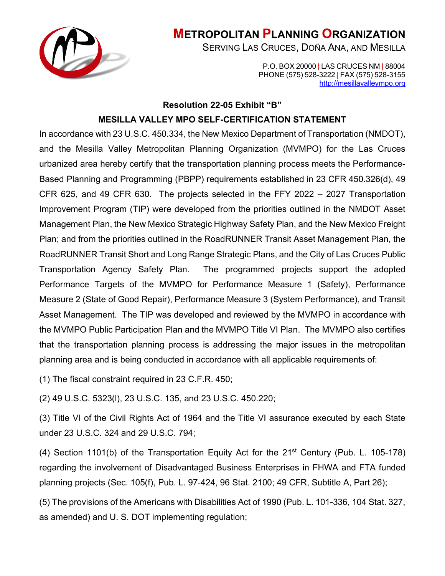

# **METROPOLITAN PLANNING ORGANIZATION**

SERVING LAS CRUCES, DOÑA ANA, AND MESILLA

P.O. BOX 20000 | LAS CRUCES NM | 88004 PHONE (575) 528-3222 | FAX (575) 528-3155 [http://mesillavalleympo.org](http://mesillavalleympo.org/)

## **Resolution 22-05 Exhibit "B"**

# **MESILLA VALLEY MPO SELF-CERTIFICATION STATEMENT**

In accordance with 23 U.S.C. 450.334, the New Mexico Department of Transportation (NMDOT), and the Mesilla Valley Metropolitan Planning Organization (MVMPO) for the Las Cruces urbanized area hereby certify that the transportation planning process meets the Performance-Based Planning and Programming (PBPP) requirements established in 23 CFR 450.326(d), 49 CFR 625, and 49 CFR 630. The projects selected in the FFY 2022 – 2027 Transportation Improvement Program (TIP) were developed from the priorities outlined in the NMDOT Asset Management Plan, the New Mexico Strategic Highway Safety Plan, and the New Mexico Freight Plan; and from the priorities outlined in the RoadRUNNER Transit Asset Management Plan, the RoadRUNNER Transit Short and Long Range Strategic Plans, and the City of Las Cruces Public Transportation Agency Safety Plan. The programmed projects support the adopted Performance Targets of the MVMPO for Performance Measure 1 (Safety), Performance Measure 2 (State of Good Repair), Performance Measure 3 (System Performance), and Transit Asset Management. The TIP was developed and reviewed by the MVMPO in accordance with the MVMPO Public Participation Plan and the MVMPO Title VI Plan. The MVMPO also certifies that the transportation planning process is addressing the major issues in the metropolitan planning area and is being conducted in accordance with all applicable requirements of:

(1) The fiscal constraint required in 23 C.F.R. 450;

(2) 49 U.S.C. 5323(l), 23 U.S.C. 135, and 23 U.S.C. 450.220;

(3) Title VI of the Civil Rights Act of 1964 and the Title VI assurance executed by each State under 23 U.S.C. 324 and 29 U.S.C. 794;

(4) Section 1101(b) of the Transportation Equity Act for the 21st Century (Pub. L. 105-178) regarding the involvement of Disadvantaged Business Enterprises in FHWA and FTA funded planning projects (Sec. 105(f), Pub. L. 97-424, 96 Stat. 2100; 49 CFR, Subtitle A, Part 26);

(5) The provisions of the Americans with Disabilities Act of 1990 (Pub. L. 101-336, 104 Stat. 327, as amended) and U. S. DOT implementing regulation;